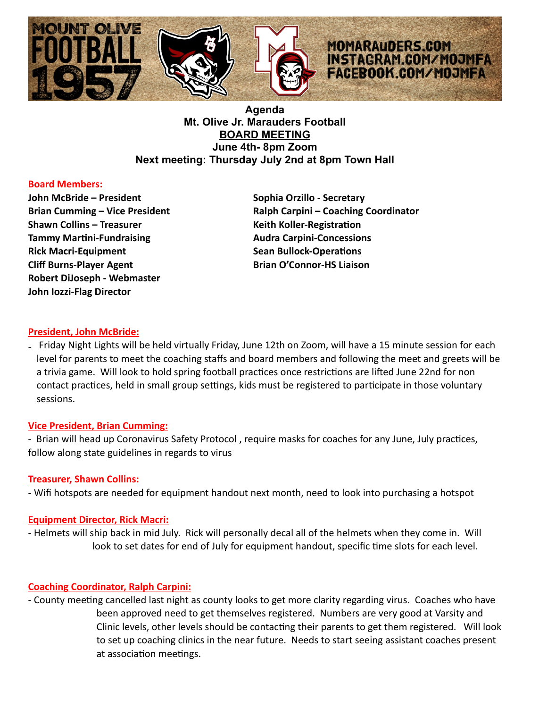

**Agenda Mt. Olive Jr. Marauders Football BOARD MEETING June 4th- 8pm Zoom Next meeting: Thursday July 2nd at 8pm Town Hall**

# **Board Members:**

**John McBride – President Sophia Orzillo - Secretary Communist Communist Communist Communist Communist Communist Communist Communist Communist Communist Communist Communist Communist Communist Communist Communist Communist Shawn Collins – Treasurer Keith Koller-RegistraDon Tammy Martini-Fundraising Tammy Audra Carpini-Concessions Rick Macri-Equipment Sean Bullock-Operations Cliff Burns-Player Agent Connor-HS Liaison Brian O'Connor-HS Liaison Robert DiJoseph - Webmaster John Iozzi-Flag Director** 

Brian Cumming – Vice President **Ralph Carpini – Coaching Coordinator** 

# **President, John McBride:**

- Friday Night Lights will be held virtually Friday, June 12th on Zoom, will have a 15 minute session for each level for parents to meet the coaching staffs and board members and following the meet and greets will be a trivia game. Will look to hold spring football practices once restrictions are lifted June 22nd for non contact practices, held in small group settings, kids must be registered to participate in those voluntary sessions.

# **Vice President, Brian Cumming:**

- Brian will head up Coronavirus Safety Protocol, require masks for coaches for any June, July practices, follow along state guidelines in regards to virus

# **Treasurer, Shawn Collins:**

- Wifi hotspots are needed for equipment handout next month, need to look into purchasing a hotspot

#### **Equipment Director, Rick Macri:**

- Helmets will ship back in mid July. Rick will personally decal all of the helmets when they come in. Will look to set dates for end of July for equipment handout, specific time slots for each level.

# **Coaching Coordinator, Ralph Carpini:**

- County meeting cancelled last night as county looks to get more clarity regarding virus. Coaches who have been approved need to get themselves registered. Numbers are very good at Varsity and Clinic levels, other levels should be contacting their parents to get them registered. Will look to set up coaching clinics in the near future. Needs to start seeing assistant coaches present at association meetings.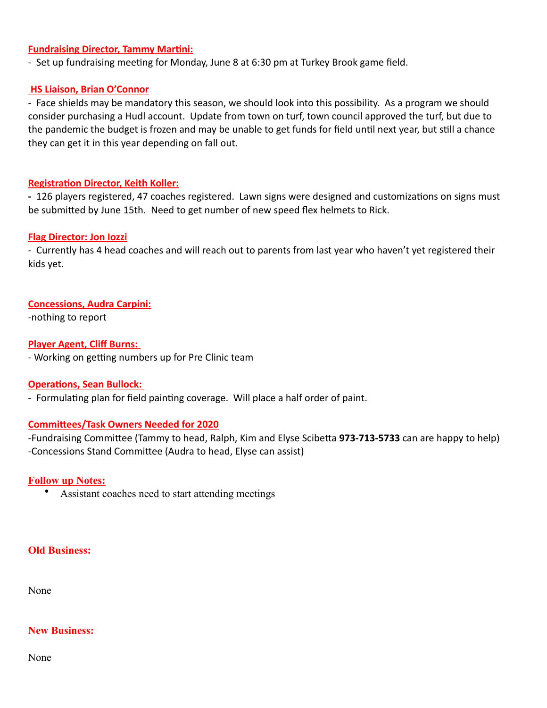### **Fundraising Director, Tammy Martini:**

- Set up fundraising meeting for Monday, June 8 at 6:30 pm at Turkey Brook game field.

### **HS Liaison, Brian O'Connor**

- Face shields may be mandatory this season, we should look into this possibility. As a program we should consider purchasing a Hudl account. Update from town on turf, town council approved the turf, but due to the pandemic the budget is frozen and may be unable to get funds for field until next year, but still a chance they can get it in this year depending on fall out.

#### **Registration Director, Keith Koller:**

- 126 players registered, 47 coaches registered. Lawn signs were designed and customizations on signs must be submitted by June 15th. Need to get number of new speed flex helmets to Rick.

#### **Flag Director: Jon Iozzi**

- Currently has 4 head coaches and will reach out to parents from last year who haven't yet registered their kids yet.

### **Concessions, Audra Carpini:**

-nothing to report

**Player Agent, Cliff Burns:** 

- Working on getting numbers up for Pre Clinic team

#### **Operations, Sean Bullock:**

- Formulating plan for field painting coverage. Will place a half order of paint.

# **Committees/Task Owners Needed for 2020**

-Fundraising Committee (Tammy to head, Ralph, Kim and Elyse Scibetta 973-713-5733 can are happy to help) -Concessions Stand Committee (Audra to head, Elyse can assist)

# **Follow up Notes:**

• Assistant coaches need to start attending meetings

# **Old Business:**

None

#### **New Business:**

None